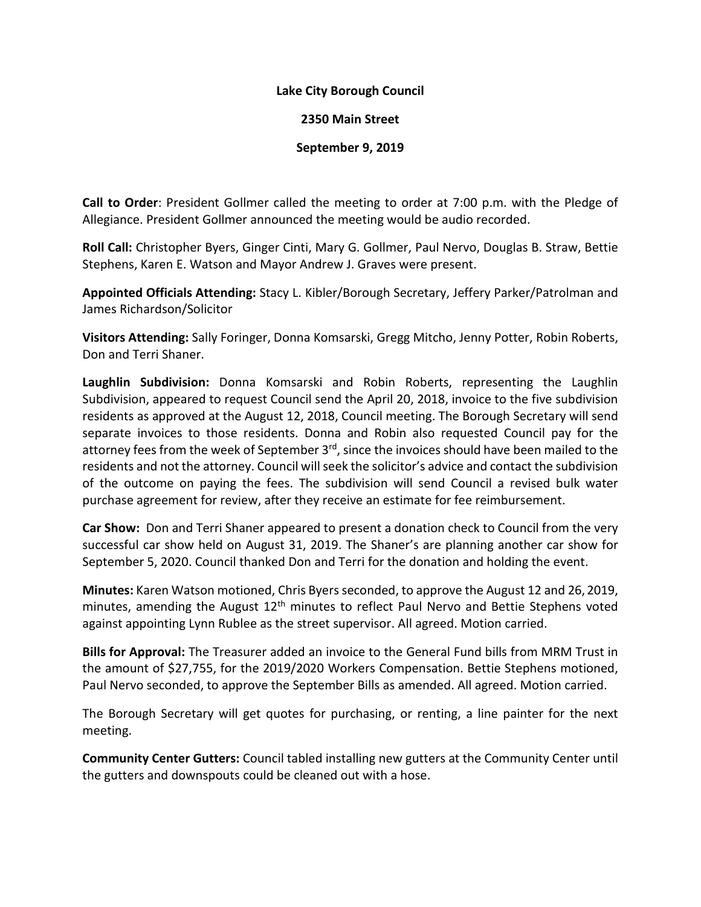## **Lake City Borough Council**

## **2350 Main Street**

## **September 9, 2019**

**Call to Order**: President Gollmer called the meeting to order at 7:00 p.m. with the Pledge of Allegiance. President Gollmer announced the meeting would be audio recorded.

**Roll Call:** Christopher Byers, Ginger Cinti, Mary G. Gollmer, Paul Nervo, Douglas B. Straw, Bettie Stephens, Karen E. Watson and Mayor Andrew J. Graves were present.

**Appointed Officials Attending:** Stacy L. Kibler/Borough Secretary, Jeffery Parker/Patrolman and James Richardson/Solicitor

**Visitors Attending:** Sally Foringer, Donna Komsarski, Gregg Mitcho, Jenny Potter, Robin Roberts, Don and Terri Shaner.

**Laughlin Subdivision:** Donna Komsarski and Robin Roberts, representing the Laughlin Subdivision, appeared to request Council send the April 20, 2018, invoice to the five subdivision residents as approved at the August 12, 2018, Council meeting. The Borough Secretary will send separate invoices to those residents. Donna and Robin also requested Council pay for the attorney fees from the week of September 3<sup>rd</sup>, since the invoices should have been mailed to the residents and not the attorney. Council will seek the solicitor's advice and contact the subdivision of the outcome on paying the fees. The subdivision will send Council a revised bulk water purchase agreement for review, after they receive an estimate for fee reimbursement.

**Car Show:** Don and Terri Shaner appeared to present a donation check to Council from the very successful car show held on August 31, 2019. The Shaner's are planning another car show for September 5, 2020. Council thanked Don and Terri for the donation and holding the event.

**Minutes:** Karen Watson motioned, Chris Byers seconded, to approve the August 12 and 26, 2019, minutes, amending the August  $12<sup>th</sup>$  minutes to reflect Paul Nervo and Bettie Stephens voted against appointing Lynn Rublee as the street supervisor. All agreed. Motion carried.

**Bills for Approval:** The Treasurer added an invoice to the General Fund bills from MRM Trust in the amount of \$27,755, for the 2019/2020 Workers Compensation. Bettie Stephens motioned, Paul Nervo seconded, to approve the September Bills as amended. All agreed. Motion carried.

The Borough Secretary will get quotes for purchasing, or renting, a line painter for the next meeting.

**Community Center Gutters:** Council tabled installing new gutters at the Community Center until the gutters and downspouts could be cleaned out with a hose.